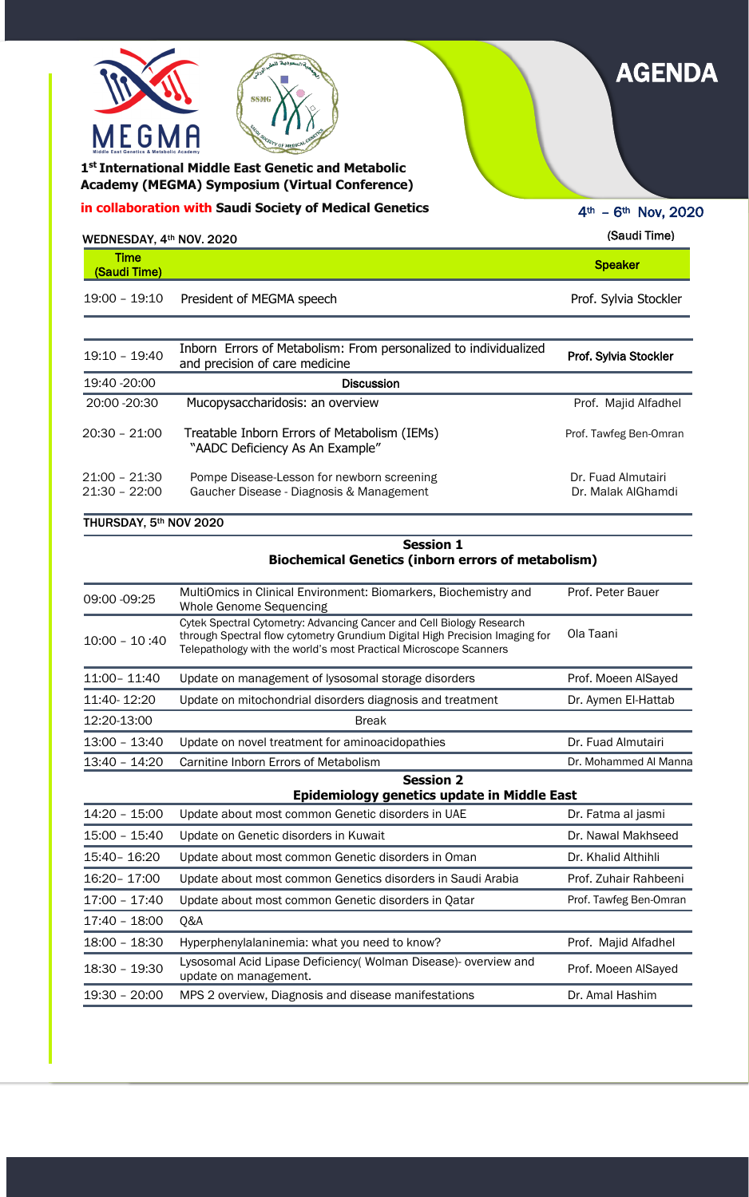| $19:10 - 19:40$                    | Inborn Errors of Metabolism: From personalized to individualized<br>and precision of care medicine | Prof. Sylvia Stockler                    |
|------------------------------------|----------------------------------------------------------------------------------------------------|------------------------------------------|
| 19:40 - 20:00                      | <b>Discussion</b>                                                                                  |                                          |
| 20:00 - 20:30                      | Mucopysaccharidosis: an overview                                                                   | Prof. Majid Alfadhel                     |
| $20:30 - 21:00$                    | Treatable Inborn Errors of Metabolism (IEMs)<br>"AADC Deficiency As An Example"                    | Prof. Tawfeg Ben-Omran                   |
| $21:00 - 21:30$<br>$21:30 - 22:00$ | Pompe Disease-Lesson for newborn screening<br>Gaucher Disease - Diagnosis & Management             | Dr. Fuad Almutairi<br>Dr. Malak AlGhamdi |

## THURSDAY, 5th NOV 2020

 **Academy (MEGMA) Symposium (Virtual Conference) 1 st International Middle East Genetic and Metabolic** 

| WEDNESDAY, 4th NOV. 2020    |                           | (Saudi Time)          |
|-----------------------------|---------------------------|-----------------------|
| <b>Time</b><br>(Saudi Time) |                           | <b>Speaker</b>        |
| 19:00 - 19:10               | President of MEGMA speech | Prof. Sylvia Stockler |

|                 | <b>Session 1</b><br><b>Biochemical Genetics (inborn errors of metabolism)</b>                                                                                                                                            |                        |
|-----------------|--------------------------------------------------------------------------------------------------------------------------------------------------------------------------------------------------------------------------|------------------------|
| 09:00 -09:25    | MultiOmics in Clinical Environment: Biomarkers, Biochemistry and<br><b>Whole Genome Sequencing</b>                                                                                                                       | Prof. Peter Bauer      |
| $10:00 - 10:40$ | Cytek Spectral Cytometry: Advancing Cancer and Cell Biology Research<br>through Spectral flow cytometry Grundium Digital High Precision Imaging for<br>Telepathology with the world's most Practical Microscope Scanners | Ola Taani              |
| 11:00 - 11:40   | Update on management of lysosomal storage disorders                                                                                                                                                                      | Prof. Moeen AlSayed    |
| 11:40-12:20     | Update on mitochondrial disorders diagnosis and treatment                                                                                                                                                                | Dr. Aymen El-Hattab    |
| 12:20-13:00     | <b>Break</b>                                                                                                                                                                                                             |                        |
| 13:00 - 13:40   | Update on novel treatment for aminoacidopathies                                                                                                                                                                          | Dr. Fuad Almutairi     |
| 13:40 - 14:20   | Carnitine Inborn Errors of Metabolism                                                                                                                                                                                    | Dr. Mohammed Al Manna  |
|                 | <b>Session 2</b><br>Epidemiology genetics update in Middle East                                                                                                                                                          |                        |
| 14:20 - 15:00   | Update about most common Genetic disorders in UAE                                                                                                                                                                        | Dr. Fatma al jasmi     |
| 15:00 - 15:40   | Update on Genetic disorders in Kuwait                                                                                                                                                                                    | Dr. Nawal Makhseed     |
| 15:40 - 16:20   | Update about most common Genetic disorders in Oman                                                                                                                                                                       | Dr. Khalid Althihli    |
| 16:20 - 17:00   | Update about most common Genetics disorders in Saudi Arabia                                                                                                                                                              | Prof. Zuhair Rahbeeni  |
| 17:00 - 17:40   | Update about most common Genetic disorders in Qatar                                                                                                                                                                      | Prof. Tawfeg Ben-Omran |
| 17:40 - 18:00   | Q&A                                                                                                                                                                                                                      |                        |

18:00 - 18:30 Hyperphenylalaninemia: what you need to know?<br>
Prof. Majid Alfadhel

| $18:30 - 19:30$ | Lysosomal Acid Lipase Deficiency (Wolman Disease) overview and<br>update on management. | Prof. Moeen AlSayed |
|-----------------|-----------------------------------------------------------------------------------------|---------------------|
|                 | 19:30 - 20:00 MPS 2 overview, Diagnosis and disease manifestations                      | Dr. Amal Hashim     |



## AGENDA

**in collaboration with Saudi Society of Medical Genetics** 

**SSMG** 

4th – 6th Nov, 2020